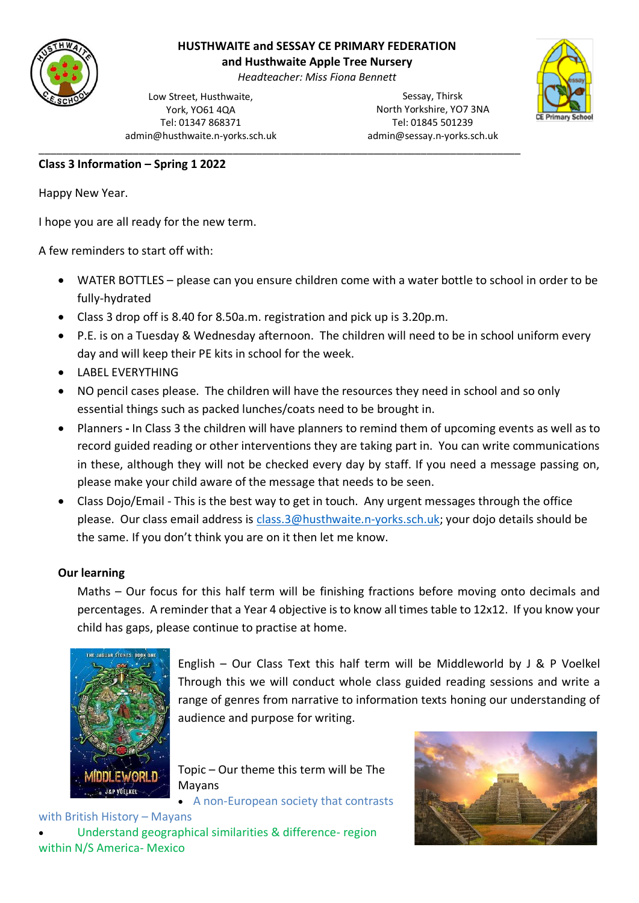

## **HUSTHWAITE and SESSAY CE PRIMARY FEDERATION**

**and Husthwaite Apple Tree Nursery**

*Headteacher: Miss Fiona Bennett*

\_\_\_\_\_\_\_\_\_\_\_\_\_\_\_\_\_\_\_\_\_\_\_\_\_\_\_\_\_\_\_\_\_\_\_\_\_\_\_\_\_\_\_\_\_\_\_\_\_\_\_\_\_\_\_\_\_\_\_\_\_\_\_\_\_\_\_\_\_\_\_\_\_\_\_\_\_\_\_\_\_\_

Low Street, Husthwaite, York, YO61 4QA Tel: 01347 868371 admin@husthwaite.n-yorks.sch.uk

Sessay, Thirsk North Yorkshire, YO7 3NA Tel: 01845 501239 admin@sessay.n-yorks.sch.uk



#### **Class 3 Information – Spring 1 2022**

Happy New Year.

I hope you are all ready for the new term.

A few reminders to start off with:

- WATER BOTTLES please can you ensure children come with a water bottle to school in order to be fully-hydrated
- Class 3 drop off is 8.40 for 8.50a.m. registration and pick up is 3.20p.m.
- P.E. is on a Tuesday & Wednesday afternoon. The children will need to be in school uniform every day and will keep their PE kits in school for the week.
- LABEL EVERYTHING
- NO pencil cases please. The children will have the resources they need in school and so only essential things such as packed lunches/coats need to be brought in.
- Planners **-** In Class 3 the children will have planners to remind them of upcoming events as well as to record guided reading or other interventions they are taking part in. You can write communications in these, although they will not be checked every day by staff. If you need a message passing on, please make your child aware of the message that needs to be seen.
- Class Dojo/Email This is the best way to get in touch. Any urgent messages through the office please. Our class email address is [class.3@husthwaite.n-yorks.sch.uk;](mailto:class.3@husthwaite.n-yorks.sch.uk) your dojo details should be the same. If you don't think you are on it then let me know.

### **Our learning**

Maths – Our focus for this half term will be finishing fractions before moving onto decimals and percentages. A reminder that a Year 4 objective is to know all times table to 12x12. If you know your child has gaps, please continue to practise at home.



English – Our Class Text this half term will be Middleworld by J & P Voelkel Through this we will conduct whole class guided reading sessions and write a range of genres from narrative to information texts honing our understanding of audience and purpose for writing.

Topic – Our theme this term will be The Mayans

• A non-European society that contrasts

with British History – Mayans • Understand geographical similarities & difference- region within N/S America- Mexico